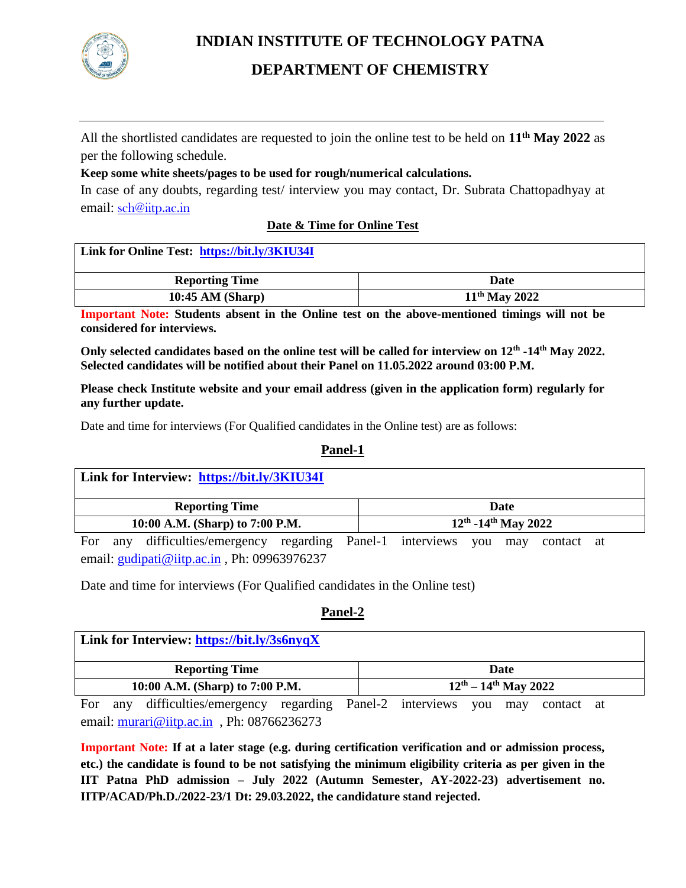

# **INDIAN INSTITUTE OF TECHNOLOGY PATNA DEPARTMENT OF CHEMISTRY**

All the shortlisted candidates are requested to join the online test to be held on **11 th May 2022** as per the following schedule.

### **Keep some white sheets/pages to be used for rough/numerical calculations.**

In case of any doubts, regarding test/ interview you may contact, Dr. Subrata Chattopadhyay at email: [sch@iitp.ac.in](mailto:sch@iitp.ac.in)

## **Date & Time for Online Test**

#### **Link for Online Test: <https://bit.ly/3KIU34I>**

| <b>Reporting Time</b> | Date               |
|-----------------------|--------------------|
| 10:45 AM (Sharp)      | $11^{th}$ May 2022 |

**Important Note: Students absent in the Online test on the above-mentioned timings will not be considered for interviews.**

**Only selected candidates based on the online test will be called for interview on 12th -14th May 2022. Selected candidates will be notified about their Panel on 11.05.2022 around 03:00 P.M.**

**Please check Institute website and your email address (given in the application form) regularly for any further update.**

Date and time for interviews (For Qualified candidates in the Online test) are as follows:

## **Panel-1**

| Link for Interview: https://bit.ly/3KIU34I |     |                                                     |  |  |                                      |     |  |                |  |
|--------------------------------------------|-----|-----------------------------------------------------|--|--|--------------------------------------|-----|--|----------------|--|
| <b>Reporting Time</b>                      |     |                                                     |  |  | Date                                 |     |  |                |  |
| 10:00 A.M. (Sharp) to 7:00 P.M.            |     |                                                     |  |  | $12^{th}$ -14 <sup>th</sup> May 2022 |     |  |                |  |
| For                                        | any | difficulties/emergency regarding Panel-1 interviews |  |  |                                      | you |  | may contact at |  |

email: [gudipati@iitp.ac.in](mailto:gudipati@iitp.ac.in), Ph: 09963976237

Date and time for interviews (For Qualified candidates in the Online test)

## **Panel-2**

| Link for Interview: https://bit.ly/3s6nyqX |                              |  |  |
|--------------------------------------------|------------------------------|--|--|
| <b>Reporting Time</b>                      | Date                         |  |  |
| 10:00 A.M. (Sharp) to 7:00 P.M.            | $12^{th} - 14^{th}$ May 2022 |  |  |
| $-$                                        |                              |  |  |

For any difficulties/emergency regarding Panel-2 interviews you may contact at email: [murari@iitp.ac.in](mailto:murari@iitp.ac.in) , Ph: 08766236273

**Important Note: If at a later stage (e.g. during certification verification and or admission process, etc.) the candidate is found to be not satisfying the minimum eligibility criteria as per given in the IIT Patna PhD admission – July 2022 (Autumn Semester, AY-2022-23) advertisement no. IITP/ACAD/Ph.D./2022-23/1 Dt: 29.03.2022, the candidature stand rejected.**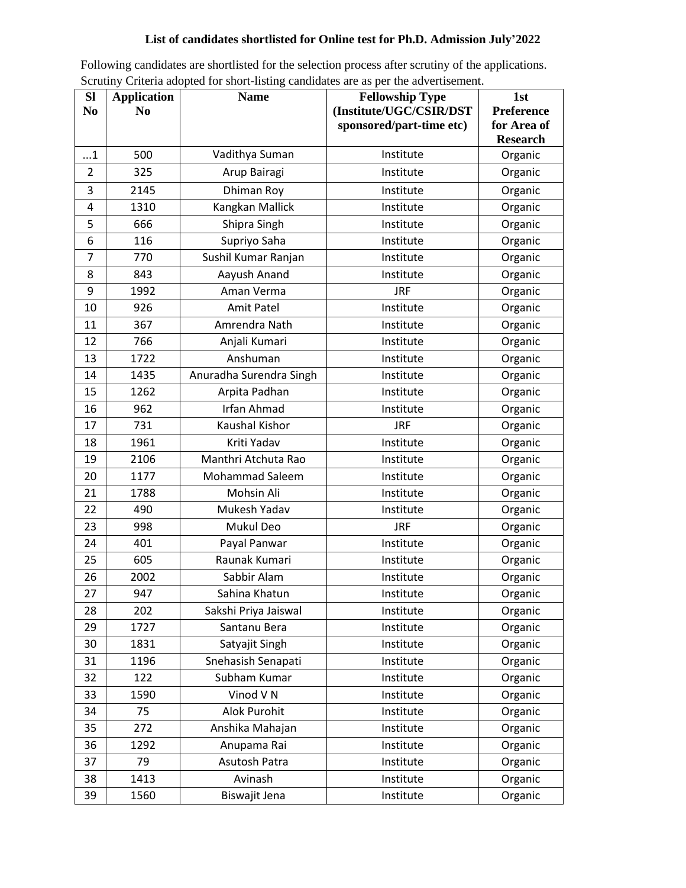## **List of candidates shortlisted for Online test for Ph.D. Admission July'2022**

| <b>Sl</b>      | <b>Application</b> | <b>Name</b>             | <b>Fellowship Type</b><br>(Institute/UGC/CSIR/DST | 1st                       |
|----------------|--------------------|-------------------------|---------------------------------------------------|---------------------------|
| N <sub>0</sub> | N <sub>0</sub>     |                         | sponsored/part-time etc)                          | Preference<br>for Area of |
|                |                    |                         |                                                   | <b>Research</b>           |
| $\dots$ 1      | 500                | Vadithya Suman          | Institute                                         | Organic                   |
| $\overline{2}$ | 325                | Arup Bairagi            | Institute                                         | Organic                   |
| 3              | 2145               | Dhiman Roy              | Institute                                         | Organic                   |
| 4              | 1310               | Kangkan Mallick         | Institute                                         | Organic                   |
| 5              | 666                | Shipra Singh            | Institute                                         | Organic                   |
| 6              | 116                | Supriyo Saha            | Institute                                         | Organic                   |
| 7              | 770                | Sushil Kumar Ranjan     | Institute                                         | Organic                   |
| 8              | 843                | Aayush Anand            | Institute                                         | Organic                   |
| 9              | 1992               | Aman Verma              | <b>JRF</b>                                        | Organic                   |
| 10             | 926                | <b>Amit Patel</b>       | Institute                                         | Organic                   |
| 11             | 367                | Amrendra Nath           | Institute                                         | Organic                   |
| 12             | 766                | Anjali Kumari           | Institute                                         | Organic                   |
| 13             | 1722               | Anshuman                | Institute                                         | Organic                   |
| 14             | 1435               | Anuradha Surendra Singh | Institute                                         | Organic                   |
| 15             | 1262               | Arpita Padhan           | Institute                                         | Organic                   |
| 16             | 962                | <b>Irfan Ahmad</b>      | Institute                                         | Organic                   |
| 17             | 731                | <b>Kaushal Kishor</b>   | <b>JRF</b>                                        | Organic                   |
| 18             | 1961               | Kriti Yadav             | Institute                                         | Organic                   |
| 19             | 2106               | Manthri Atchuta Rao     | Institute                                         | Organic                   |
| 20             | 1177               | <b>Mohammad Saleem</b>  | Institute                                         | Organic                   |
| 21             | 1788               | Mohsin Ali              | Institute                                         | Organic                   |
| 22             | 490                | Mukesh Yadav            | Institute                                         | Organic                   |
| 23             | 998                | Mukul Deo               | <b>JRF</b>                                        | Organic                   |
| 24             | 401                | Payal Panwar            | Institute                                         | Organic                   |
| 25             | 605                | Raunak Kumari           | Institute                                         | Organic                   |
| 26             | 2002               | Sabbir Alam             | Institute                                         | Organic                   |
| 27             | 947                | Sahina Khatun           | Institute                                         | Organic                   |
| 28             | 202                | Sakshi Priya Jaiswal    | Institute                                         | Organic                   |
| 29             | 1727               | Santanu Bera            | Institute                                         | Organic                   |
| 30             | 1831               | Satyajit Singh          | Institute                                         | Organic                   |
| 31             | 1196               | Snehasish Senapati      | Institute                                         | Organic                   |
| 32             | 122                | Subham Kumar            | Institute                                         | Organic                   |
| 33             | 1590               | Vinod VN                | Institute                                         | Organic                   |
| 34             | 75                 | Alok Purohit            | Institute                                         | Organic                   |
| 35             | 272                | Anshika Mahajan         | Institute                                         | Organic                   |
| 36             | 1292               | Anupama Rai             | Institute                                         | Organic                   |
| 37             | 79                 | Asutosh Patra           | Institute                                         | Organic                   |
| 38             | 1413               | Avinash                 | Institute                                         | Organic                   |
| 39             | 1560               | Biswajit Jena           | Institute                                         | Organic                   |

Following candidates are shortlisted for the selection process after scrutiny of the applications. Scrutiny Criteria adopted for short-listing candidates are as per the advertisement.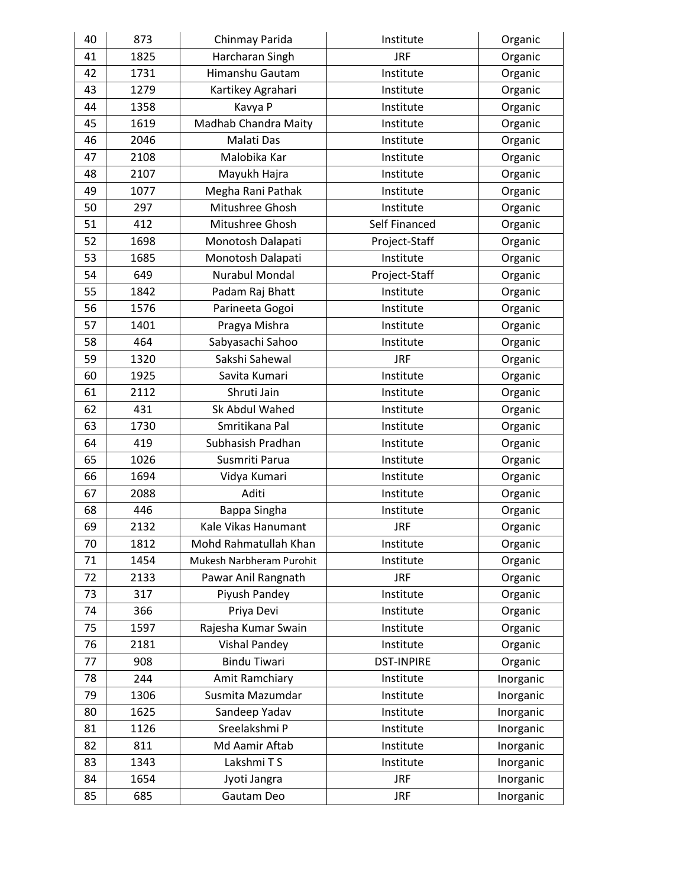| 40 | 873  | Chinmay Parida           | Institute         | Organic   |
|----|------|--------------------------|-------------------|-----------|
| 41 | 1825 | Harcharan Singh          | <b>JRF</b>        | Organic   |
| 42 | 1731 | Himanshu Gautam          | Institute         | Organic   |
| 43 | 1279 | Kartikey Agrahari        | Institute         | Organic   |
| 44 | 1358 | Kavya P                  | Institute         | Organic   |
| 45 | 1619 | Madhab Chandra Maity     | Institute         | Organic   |
| 46 | 2046 | Malati Das               | Institute         | Organic   |
| 47 | 2108 | Malobika Kar             | Institute         | Organic   |
| 48 | 2107 | Mayukh Hajra             | Institute         | Organic   |
| 49 | 1077 | Megha Rani Pathak        | Institute         | Organic   |
| 50 | 297  | Mitushree Ghosh          | Institute         | Organic   |
| 51 | 412  | Mitushree Ghosh          | Self Financed     | Organic   |
| 52 | 1698 | Monotosh Dalapati        | Project-Staff     | Organic   |
| 53 | 1685 | Monotosh Dalapati        | Institute         | Organic   |
| 54 | 649  | <b>Nurabul Mondal</b>    | Project-Staff     | Organic   |
| 55 | 1842 | Padam Raj Bhatt          | Institute         | Organic   |
| 56 | 1576 | Parineeta Gogoi          | Institute         | Organic   |
| 57 | 1401 | Pragya Mishra            | Institute         | Organic   |
| 58 | 464  | Sabyasachi Sahoo         | Institute         | Organic   |
| 59 | 1320 | Sakshi Sahewal           | <b>JRF</b>        | Organic   |
| 60 | 1925 | Savita Kumari            | Institute         | Organic   |
| 61 | 2112 | Shruti Jain              | Institute         | Organic   |
| 62 | 431  | Sk Abdul Wahed           | Institute         | Organic   |
| 63 | 1730 | Smritikana Pal           | Institute         | Organic   |
| 64 | 419  | Subhasish Pradhan        | Institute         | Organic   |
| 65 | 1026 | Susmriti Parua           | Institute         | Organic   |
| 66 | 1694 | Vidya Kumari             | Institute         | Organic   |
| 67 | 2088 | Aditi                    | Institute         | Organic   |
| 68 | 446  | Bappa Singha             | Institute         | Organic   |
| 69 | 2132 | Kale Vikas Hanumant      | <b>JRF</b>        | Organic   |
| 70 | 1812 | Mohd Rahmatullah Khan    | Institute         | Organic   |
| 71 | 1454 | Mukesh Narbheram Purohit | Institute         | Organic   |
| 72 | 2133 | Pawar Anil Rangnath      | <b>JRF</b>        | Organic   |
| 73 | 317  | Piyush Pandey            | Institute         | Organic   |
| 74 | 366  | Priya Devi               | Institute         | Organic   |
| 75 | 1597 | Rajesha Kumar Swain      | Institute         | Organic   |
| 76 | 2181 | <b>Vishal Pandey</b>     | Institute         | Organic   |
| 77 | 908  | <b>Bindu Tiwari</b>      | <b>DST-INPIRE</b> | Organic   |
| 78 | 244  | Amit Ramchiary           | Institute         | Inorganic |
| 79 | 1306 | Susmita Mazumdar         | Institute         | Inorganic |
| 80 | 1625 | Sandeep Yadav            | Institute         | Inorganic |
| 81 | 1126 | Sreelakshmi P            | Institute         | Inorganic |
| 82 | 811  | Md Aamir Aftab           | Institute         | Inorganic |
| 83 | 1343 | Lakshmi TS               | Institute         | Inorganic |
| 84 | 1654 | Jyoti Jangra             | <b>JRF</b>        | Inorganic |
| 85 | 685  | Gautam Deo               | <b>JRF</b>        | Inorganic |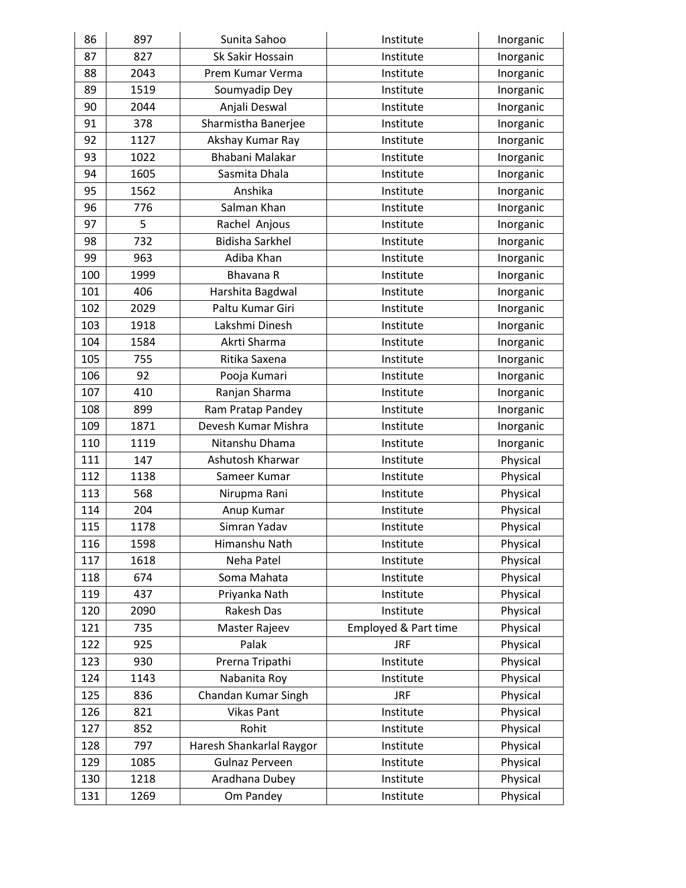| 86  | 897  | Sunita Sahoo             | Institute            | Inorganic |
|-----|------|--------------------------|----------------------|-----------|
| 87  | 827  | Sk Sakir Hossain         | Institute            | Inorganic |
| 88  | 2043 | Prem Kumar Verma         | Institute            | Inorganic |
| 89  | 1519 | Soumyadip Dey            | Institute            | Inorganic |
| 90  | 2044 | Anjali Deswal            | Institute            | Inorganic |
| 91  | 378  | Sharmistha Banerjee      | Institute            | Inorganic |
| 92  | 1127 | Akshay Kumar Ray         | Institute            | Inorganic |
| 93  | 1022 | Bhabani Malakar          | Institute            | Inorganic |
| 94  | 1605 | Sasmita Dhala            | Institute            | Inorganic |
| 95  | 1562 | Anshika                  | Institute            | Inorganic |
| 96  | 776  | Salman Khan              | Institute            | Inorganic |
| 97  | 5    | Rachel Anjous            | Institute            | Inorganic |
| 98  | 732  | <b>Bidisha Sarkhel</b>   | Institute            | Inorganic |
| 99  | 963  | Adiba Khan               | Institute            | Inorganic |
| 100 | 1999 | Bhavana R                | Institute            | Inorganic |
| 101 | 406  | Harshita Bagdwal         | Institute            | Inorganic |
| 102 | 2029 | Paltu Kumar Giri         | Institute            | Inorganic |
| 103 | 1918 | Lakshmi Dinesh           | Institute            | Inorganic |
| 104 | 1584 | Akrti Sharma             | Institute            | Inorganic |
| 105 | 755  | Ritika Saxena            | Institute            | Inorganic |
| 106 | 92   | Pooja Kumari             | Institute            | Inorganic |
| 107 | 410  | Ranjan Sharma            | Institute            | Inorganic |
| 108 | 899  | Ram Pratap Pandey        | Institute            | Inorganic |
| 109 | 1871 | Devesh Kumar Mishra      | Institute            | Inorganic |
| 110 | 1119 | Nitanshu Dhama           | Institute            | Inorganic |
| 111 | 147  | Ashutosh Kharwar         | Institute            | Physical  |
| 112 | 1138 | Sameer Kumar             | Institute            | Physical  |
| 113 | 568  | Nirupma Rani             | Institute            | Physical  |
| 114 | 204  | Anup Kumar               | Institute            | Physical  |
| 115 | 1178 | Simran Yadav             | Institute            | Physical  |
| 116 | 1598 | Himanshu Nath            | Institute            | Physical  |
| 117 | 1618 | Neha Patel               | Institute            | Physical  |
| 118 | 674  | Soma Mahata              | Institute            | Physical  |
| 119 | 437  | Priyanka Nath            | Institute            | Physical  |
| 120 | 2090 | Rakesh Das               | Institute            | Physical  |
| 121 | 735  | Master Rajeev            | Employed & Part time | Physical  |
| 122 | 925  | Palak                    | <b>JRF</b>           | Physical  |
| 123 | 930  | Prerna Tripathi          | Institute            | Physical  |
| 124 | 1143 | Nabanita Roy             | Institute            | Physical  |
| 125 | 836  | Chandan Kumar Singh      | <b>JRF</b>           | Physical  |
| 126 | 821  | <b>Vikas Pant</b>        | Institute            | Physical  |
| 127 | 852  | Rohit                    | Institute            | Physical  |
| 128 | 797  | Haresh Shankarlal Raygor | Institute            | Physical  |
| 129 | 1085 | Gulnaz Perveen           | Institute            | Physical  |
| 130 | 1218 | Aradhana Dubey           | Institute            | Physical  |
| 131 | 1269 | Om Pandey                | Institute            | Physical  |